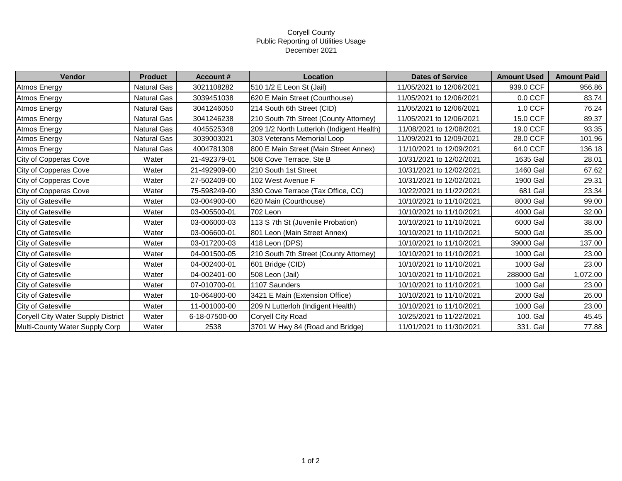## Coryell County Public Reporting of Utilities Usage December 2021

| Vendor                             | <b>Product</b>     | <b>Account#</b> | Location                                  | <b>Dates of Service</b>  | <b>Amount Used</b> | <b>Amount Paid</b> |
|------------------------------------|--------------------|-----------------|-------------------------------------------|--------------------------|--------------------|--------------------|
| <b>Atmos Energy</b>                | <b>Natural Gas</b> | 3021108282      | 510 1/2 E Leon St (Jail)                  | 11/05/2021 to 12/06/2021 | 939.0 CCF          | 956.86             |
| Atmos Energy                       | Natural Gas        | 3039451038      | 620 E Main Street (Courthouse)            | 11/05/2021 to 12/06/2021 | $0.0$ CCF          | 83.74              |
| Atmos Energy                       | Natural Gas        | 3041246050      | 214 South 6th Street (CID)                | 11/05/2021 to 12/06/2021 | 1.0 CCF            | 76.24              |
| Atmos Energy                       | Natural Gas        | 3041246238      | 210 South 7th Street (County Attorney)    | 11/05/2021 to 12/06/2021 | 15.0 CCF           | 89.37              |
| <b>Atmos Energy</b>                | Natural Gas        | 4045525348      | 209 1/2 North Lutterloh (Indigent Health) | 11/08/2021 to 12/08/2021 | 19.0 CCF           | 93.35              |
| Atmos Energy                       | Natural Gas        | 3039003021      | 303 Veterans Memorial Loop                | 11/09/2021 to 12/09/2021 | 28.0 CCF           | 101.96             |
| Atmos Energy                       | <b>Natural Gas</b> | 4004781308      | 800 E Main Street (Main Street Annex)     | 11/10/2021 to 12/09/2021 | 64.0 CCF           | 136.18             |
| City of Copperas Cove              | Water              | 21-492379-01    | 508 Cove Terrace, Ste B                   | 10/31/2021 to 12/02/2021 | 1635 Gal           | 28.01              |
| City of Copperas Cove              | Water              | 21-492909-00    | 210 South 1st Street                      | 10/31/2021 to 12/02/2021 | 1460 Gal           | 67.62              |
| City of Copperas Cove              | Water              | 27-502409-00    | 102 West Avenue F                         | 10/31/2021 to 12/02/2021 | 1900 Gal           | 29.31              |
| City of Copperas Cove              | Water              | 75-598249-00    | 330 Cove Terrace (Tax Office, CC)         | 10/22/2021 to 11/22/2021 | 681 Gal            | 23.34              |
| <b>City of Gatesville</b>          | Water              | 03-004900-00    | 620 Main (Courthouse)                     | 10/10/2021 to 11/10/2021 | 8000 Gal           | 99.00              |
| City of Gatesville                 | Water              | 03-005500-01    | 702 Leon                                  | 10/10/2021 to 11/10/2021 | 4000 Gal           | 32.00              |
| City of Gatesville                 | Water              | 03-006000-03    | 113 S 7th St (Juvenile Probation)         | 10/10/2021 to 11/10/2021 | 6000 Gal           | 38.00              |
| City of Gatesville                 | Water              | 03-006600-01    | 801 Leon (Main Street Annex)              | 10/10/2021 to 11/10/2021 | 5000 Gal           | 35.00              |
| <b>City of Gatesville</b>          | Water              | 03-017200-03    | 418 Leon (DPS)                            | 10/10/2021 to 11/10/2021 | 39000 Gal          | 137.00             |
| City of Gatesville                 | Water              | 04-001500-05    | 210 South 7th Street (County Attorney)    | 10/10/2021 to 11/10/2021 | 1000 Gal           | 23.00              |
| <b>City of Gatesville</b>          | Water              | 04-002400-01    | 601 Bridge (CID)                          | 10/10/2021 to 11/10/2021 | 1000 Gal           | 23.00              |
| City of Gatesville                 | Water              | 04-002401-00    | 508 Leon (Jail)                           | 10/10/2021 to 11/10/2021 | 288000 Gal         | 1,072.00           |
| City of Gatesville                 | Water              | 07-010700-01    | 1107 Saunders                             | 10/10/2021 to 11/10/2021 | 1000 Gal           | 23.00              |
| City of Gatesville                 | Water              | 10-064800-00    | 3421 E Main (Extension Office)            | 10/10/2021 to 11/10/2021 | 2000 Gal           | 26.00              |
| <b>City of Gatesville</b>          | Water              | 11-001000-00    | 209 N Lutterloh (Indigent Health)         | 10/10/2021 to 11/10/2021 | 1000 Gal           | 23.00              |
| Coryell City Water Supply District | Water              | 6-18-07500-00   | <b>Coryell City Road</b>                  | 10/25/2021 to 11/22/2021 | 100. Gal           | 45.45              |
| Multi-County Water Supply Corp     | Water              | 2538            | 3701 W Hwy 84 (Road and Bridge)           | 11/01/2021 to 11/30/2021 | 331. Gal           | 77.88              |